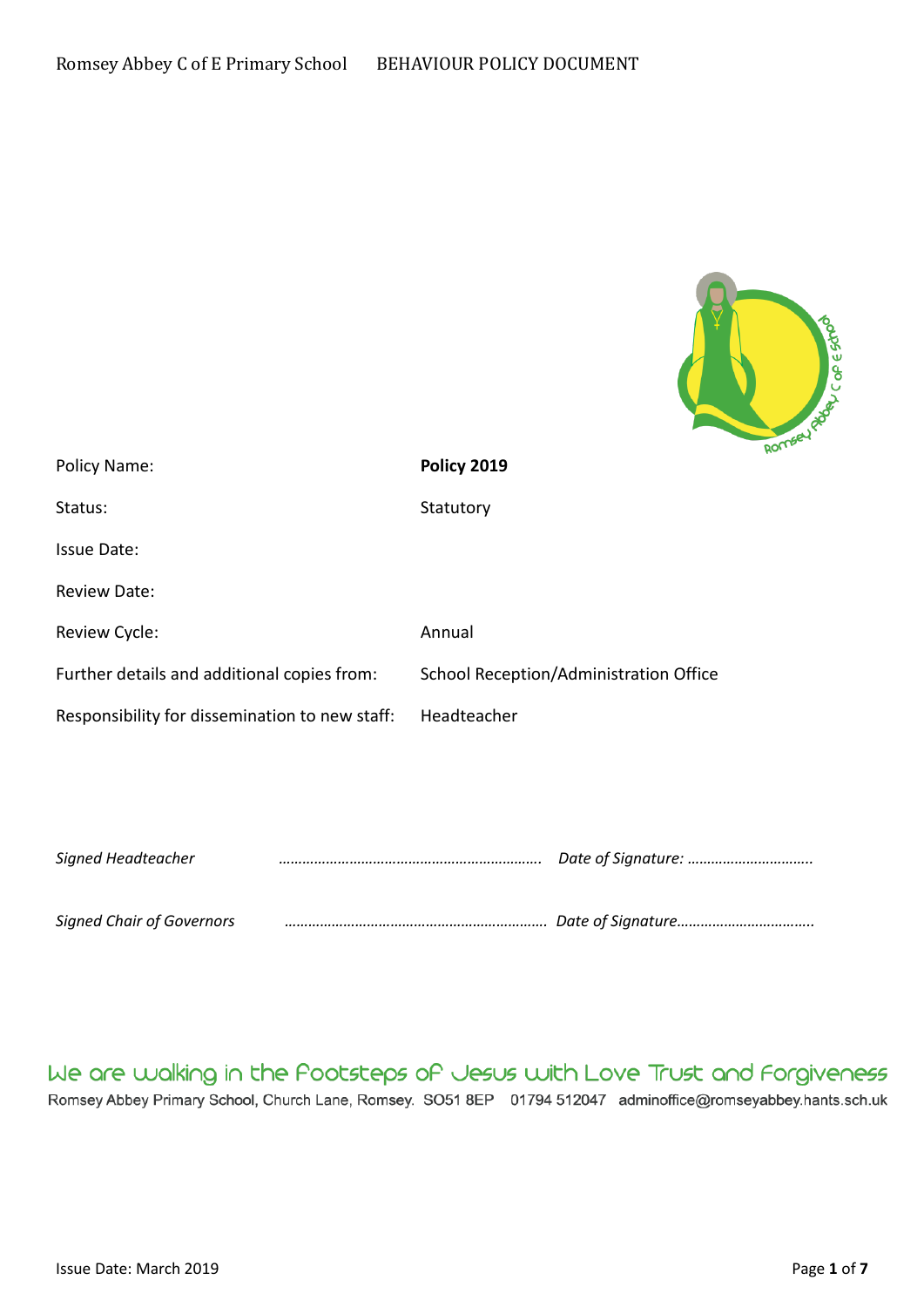

| Policy Name:                                   | Policy 2019                            |
|------------------------------------------------|----------------------------------------|
| Status:                                        | Statutory                              |
| Issue Date:                                    |                                        |
| <b>Review Date:</b>                            |                                        |
| Review Cycle:                                  | Annual                                 |
| Further details and additional copies from:    | School Reception/Administration Office |
| Responsibility for dissemination to new staff: | Headteacher                            |
|                                                |                                        |
|                                                |                                        |
| Signed Headteacher                             |                                        |
| <b>Signed Chair of Governors</b>               |                                        |

We are walking in the Pootsteps of Jesus with Love Trust and Forgiveness Romsey Abbey Primary School, Church Lane, Romsey. SO51 8EP 01794 512047 adminoffice@romseyabbey.hants.sch.uk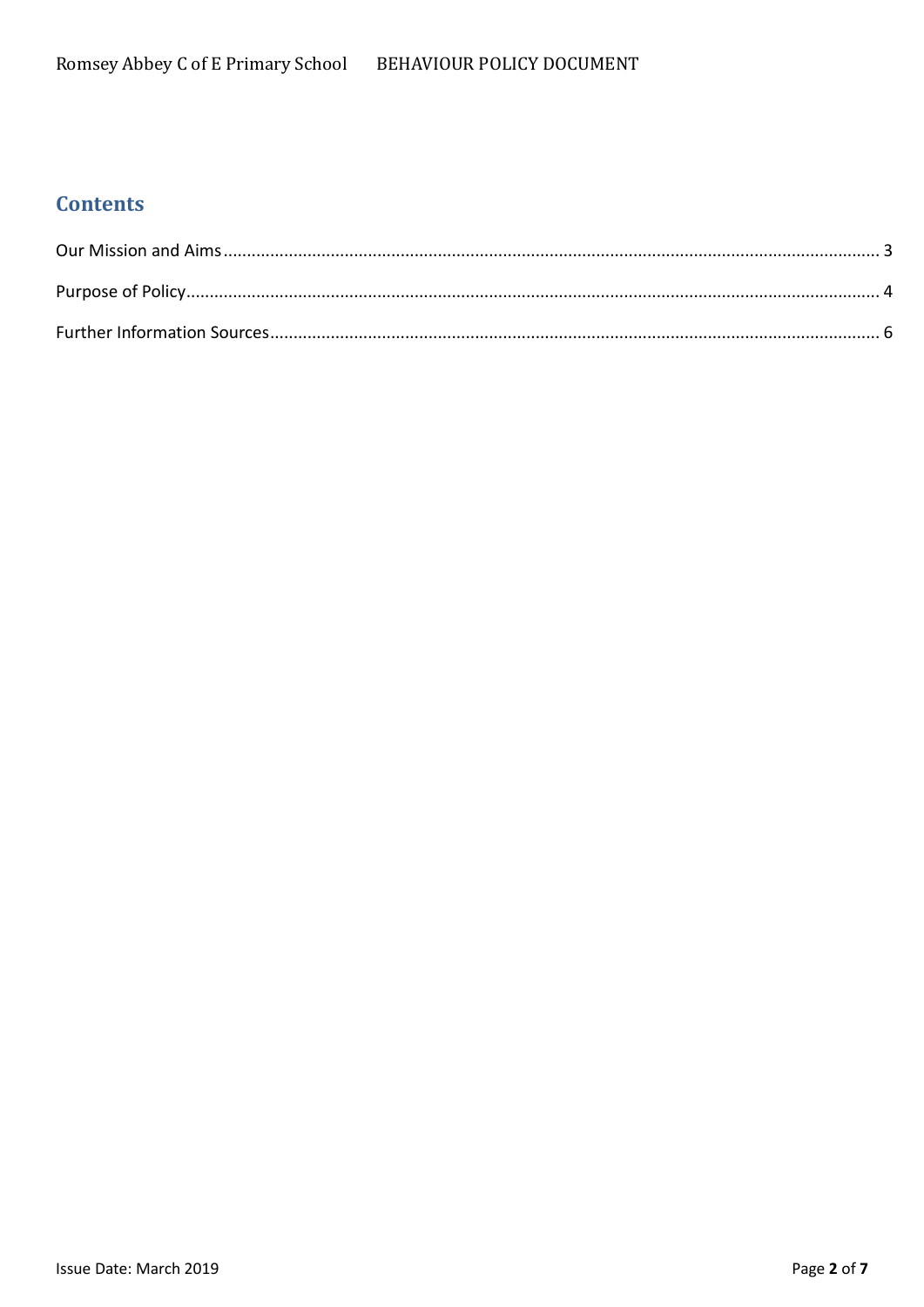# **Contents**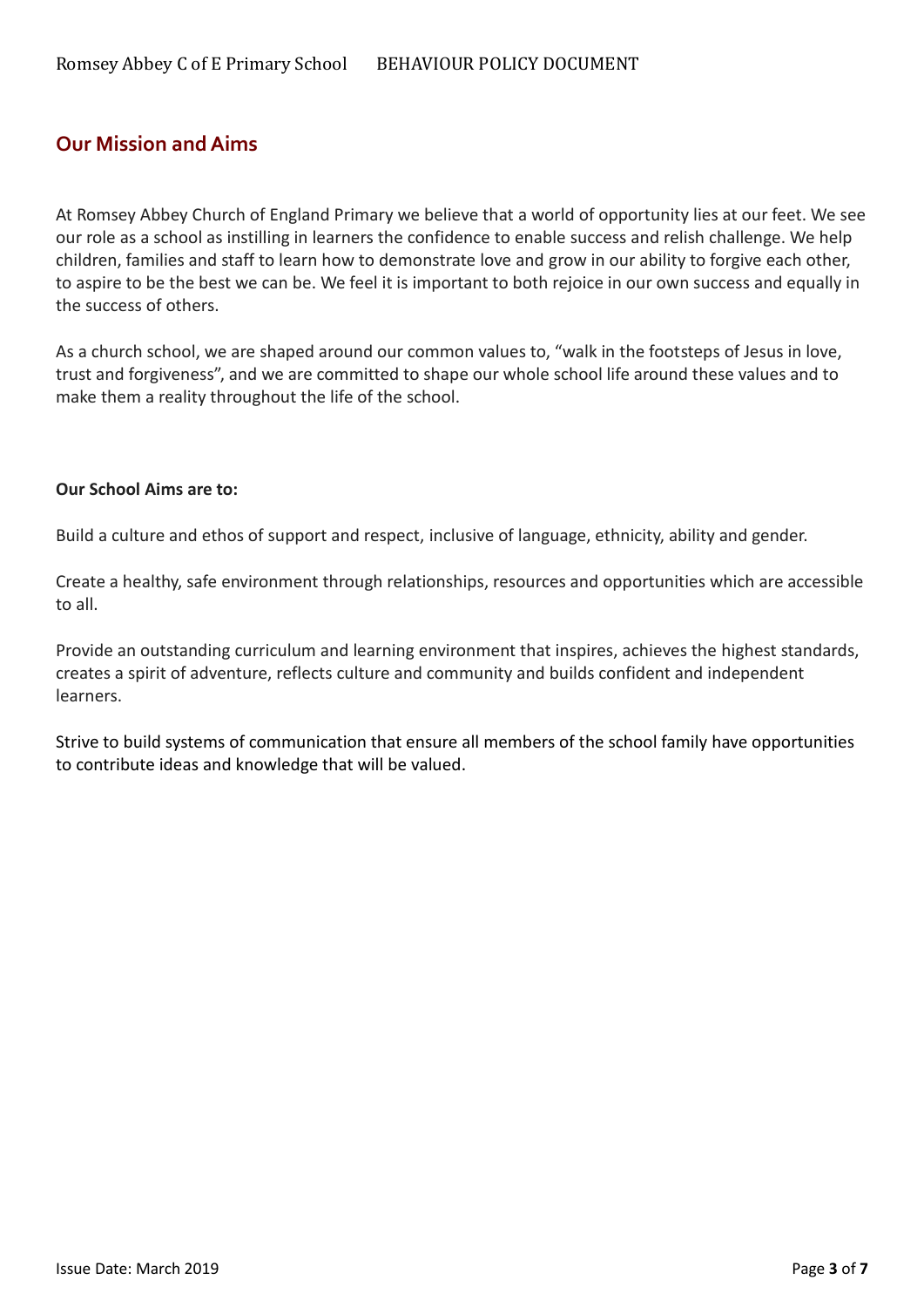## <span id="page-2-0"></span>**Our Mission and Aims**

At Romsey Abbey Church of England Primary we believe that a world of opportunity lies at our feet. We see our role as a school as instilling in learners the confidence to enable success and relish challenge. We help children, families and staff to learn how to demonstrate love and grow in our ability to forgive each other, to aspire to be the best we can be. We feel it is important to both rejoice in our own success and equally in the success of others.

As a church school, we are shaped around our common values to, "walk in the footsteps of Jesus in love, trust and forgiveness", and we are committed to shape our whole school life around these values and to make them a reality throughout the life of the school.

#### **Our School Aims are to:**

Build a culture and ethos of support and respect, inclusive of language, ethnicity, ability and gender.

Create a healthy, safe environment through relationships, resources and opportunities which are accessible to all.

Provide an outstanding curriculum and learning environment that inspires, achieves the highest standards, creates a spirit of adventure, reflects culture and community and builds confident and independent learners.

Strive to build systems of communication that ensure all members of the school family have opportunities to contribute ideas and knowledge that will be valued.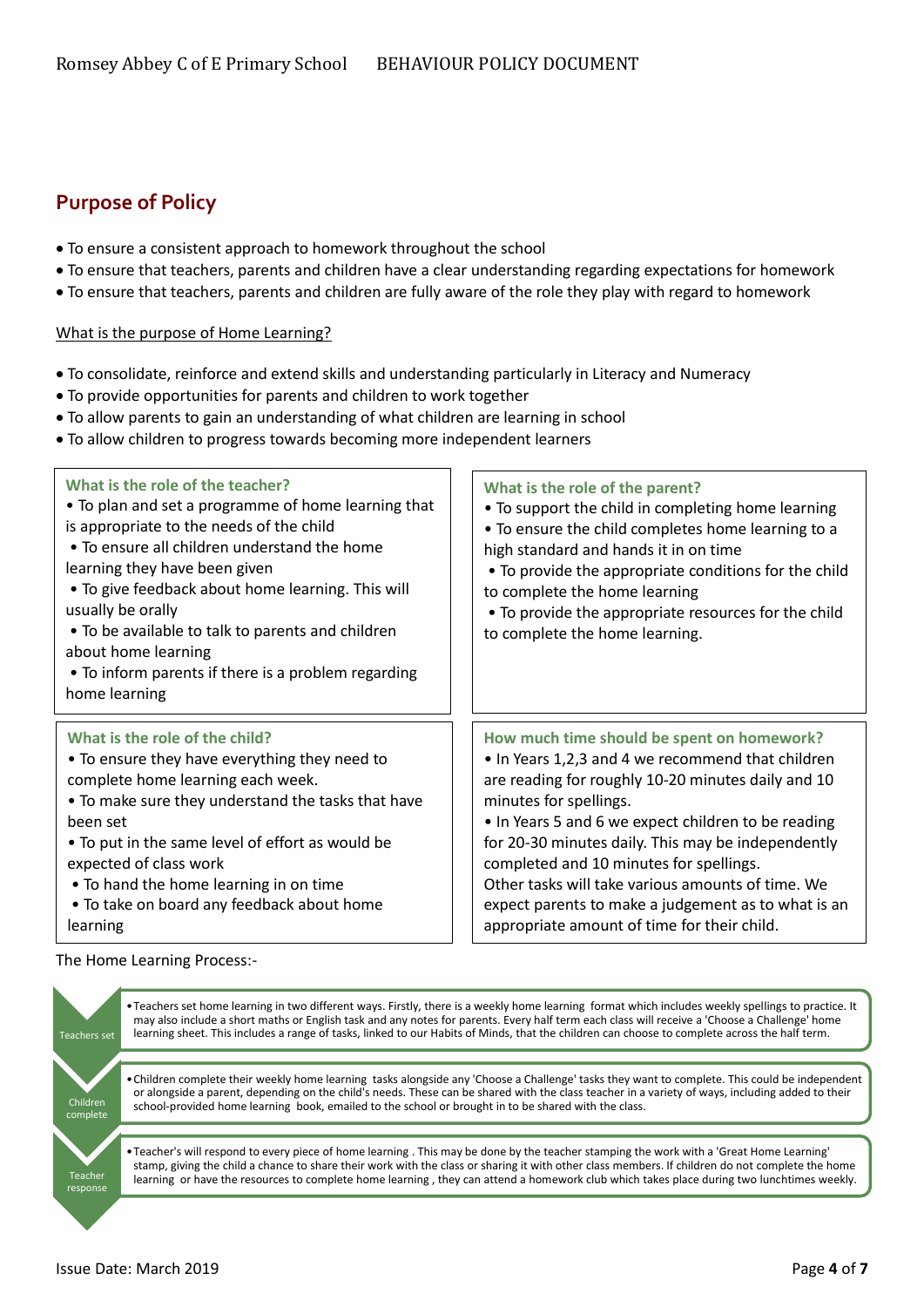## <span id="page-3-0"></span>**Purpose of Policy**

- To ensure a consistent approach to homework throughout the school
- To ensure that teachers, parents and children have a clear understanding regarding expectations for homework
- To ensure that teachers, parents and children are fully aware of the role they play with regard to homework

#### What is the purpose of Home Learning?

- To consolidate, reinforce and extend skills and understanding particularly in Literacy and Numeracy
- To provide opportunities for parents and children to work together
- To allow parents to gain an understanding of what children are learning in school
- To allow children to progress towards becoming more independent learners

| What is the role of the teacher?<br>• To plan and set a programme of home learning that<br>is appropriate to the needs of the child<br>• To ensure all children understand the home<br>learning they have been given<br>• To give feedback about home learning. This will<br>usually be orally<br>• To be available to talk to parents and children<br>about home learning<br>• To inform parents if there is a problem regarding<br>home learning | What is the role of the parent?<br>• To support the child in completing home learning<br>. To ensure the child completes home learning to a<br>high standard and hands it in on time<br>• To provide the appropriate conditions for the child<br>to complete the home learning<br>• To provide the appropriate resources for the child<br>to complete the home learning. |
|----------------------------------------------------------------------------------------------------------------------------------------------------------------------------------------------------------------------------------------------------------------------------------------------------------------------------------------------------------------------------------------------------------------------------------------------------|--------------------------------------------------------------------------------------------------------------------------------------------------------------------------------------------------------------------------------------------------------------------------------------------------------------------------------------------------------------------------|
| What is the role of the child?                                                                                                                                                                                                                                                                                                                                                                                                                     | How much time should be spent on homework?                                                                                                                                                                                                                                                                                                                               |
| • To ensure they have everything they need to                                                                                                                                                                                                                                                                                                                                                                                                      | • In Years 1,2,3 and 4 we recommend that children                                                                                                                                                                                                                                                                                                                        |
| complete home learning each week.                                                                                                                                                                                                                                                                                                                                                                                                                  | are reading for roughly 10-20 minutes daily and 10                                                                                                                                                                                                                                                                                                                       |
| . To make sure they understand the tasks that have                                                                                                                                                                                                                                                                                                                                                                                                 | minutes for spellings.                                                                                                                                                                                                                                                                                                                                                   |
| been set                                                                                                                                                                                                                                                                                                                                                                                                                                           | • In Years 5 and 6 we expect children to be reading                                                                                                                                                                                                                                                                                                                      |
| • To put in the same level of effort as would be                                                                                                                                                                                                                                                                                                                                                                                                   | for 20-30 minutes daily. This may be independently                                                                                                                                                                                                                                                                                                                       |
| expected of class work                                                                                                                                                                                                                                                                                                                                                                                                                             | completed and 10 minutes for spellings.                                                                                                                                                                                                                                                                                                                                  |
| • To hand the home learning in on time                                                                                                                                                                                                                                                                                                                                                                                                             | Other tasks will take various amounts of time. We                                                                                                                                                                                                                                                                                                                        |
| • To take on board any feedback about home                                                                                                                                                                                                                                                                                                                                                                                                         | expect parents to make a judgement as to what is an                                                                                                                                                                                                                                                                                                                      |
| learning                                                                                                                                                                                                                                                                                                                                                                                                                                           | appropriate amount of time for their child.                                                                                                                                                                                                                                                                                                                              |

The Home Learning Process:-

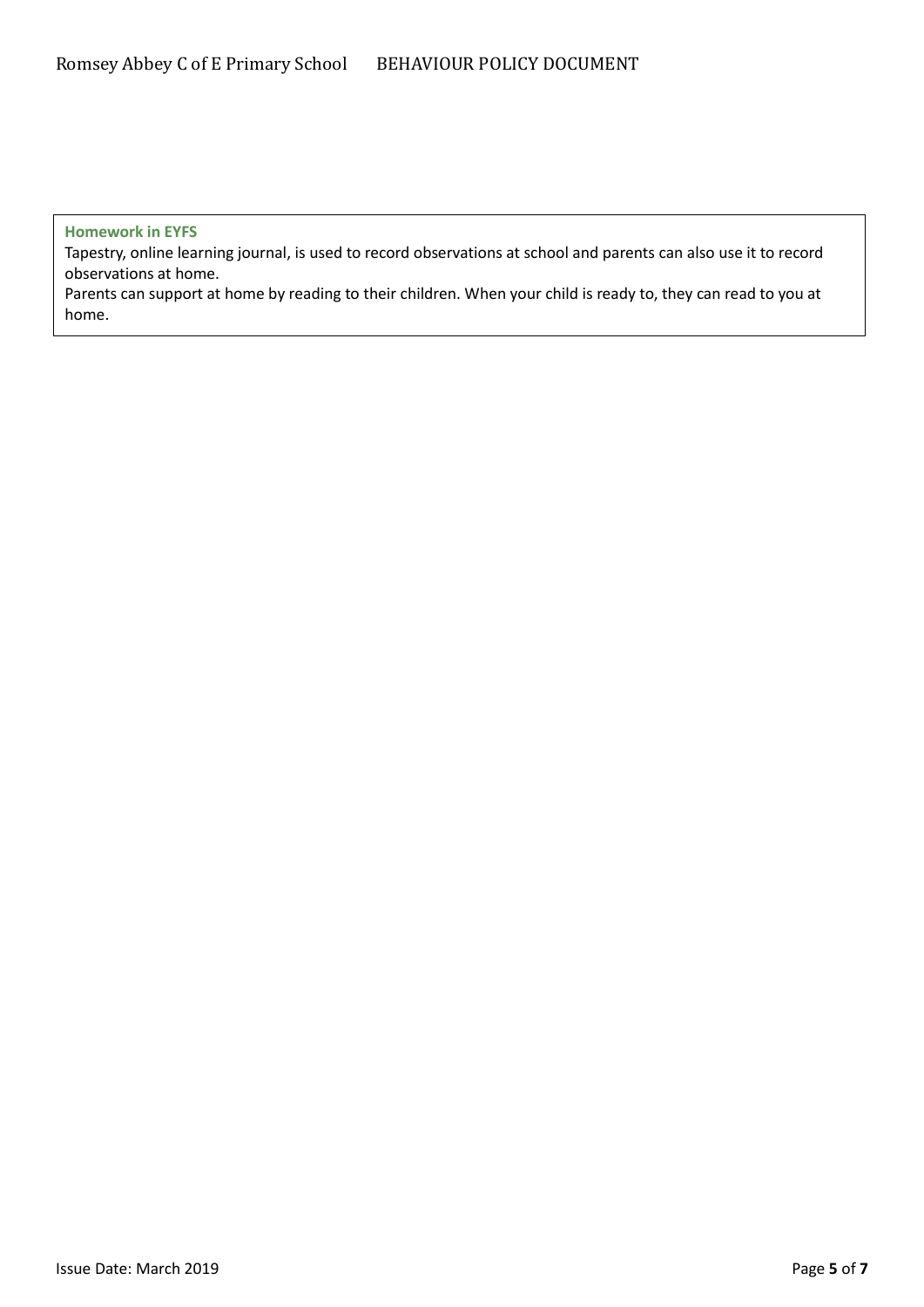#### **Homework in EYFS**

Tapestry, online learning journal, is used to record observations at school and parents can also use it to record observations at home.

Parents can support at home by reading to their children. When your child is ready to, they can read to you at home.